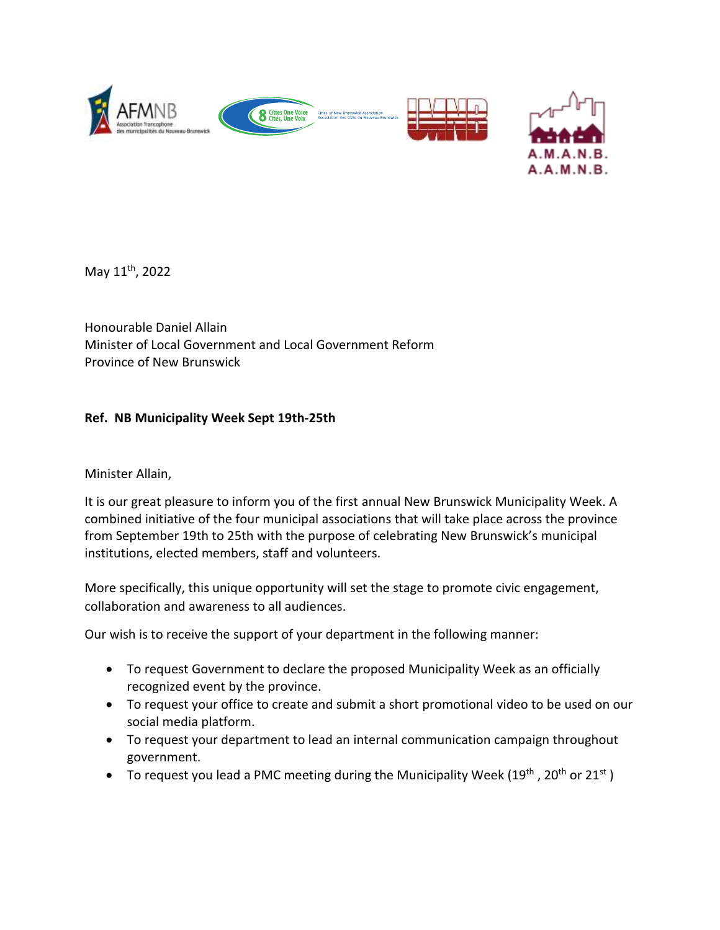



May 11<sup>th</sup>, 2022

Honourable Daniel Allain Minister of Local Government and Local Government Reform Province of New Brunswick

## **Ref. NB Municipality Week Sept 19th-25th**

Minister Allain,

It is our great pleasure to inform you of the first annual New Brunswick Municipality Week. A combined initiative of the four municipal associations that will take place across the province from September 19th to 25th with the purpose of celebrating New Brunswick's municipal institutions, elected members, staff and volunteers.

More specifically, this unique opportunity will set the stage to promote civic engagement, collaboration and awareness to all audiences.

Our wish is to receive the support of your department in the following manner:

- To request Government to declare the proposed Municipality Week as an officially recognized event by the province.
- To request your office to create and submit a short promotional video to be used on our social media platform.
- To request your department to lead an internal communication campaign throughout government.
- To request you lead a PMC meeting during the Municipality Week (19<sup>th</sup>, 20<sup>th</sup> or 21<sup>st</sup>)